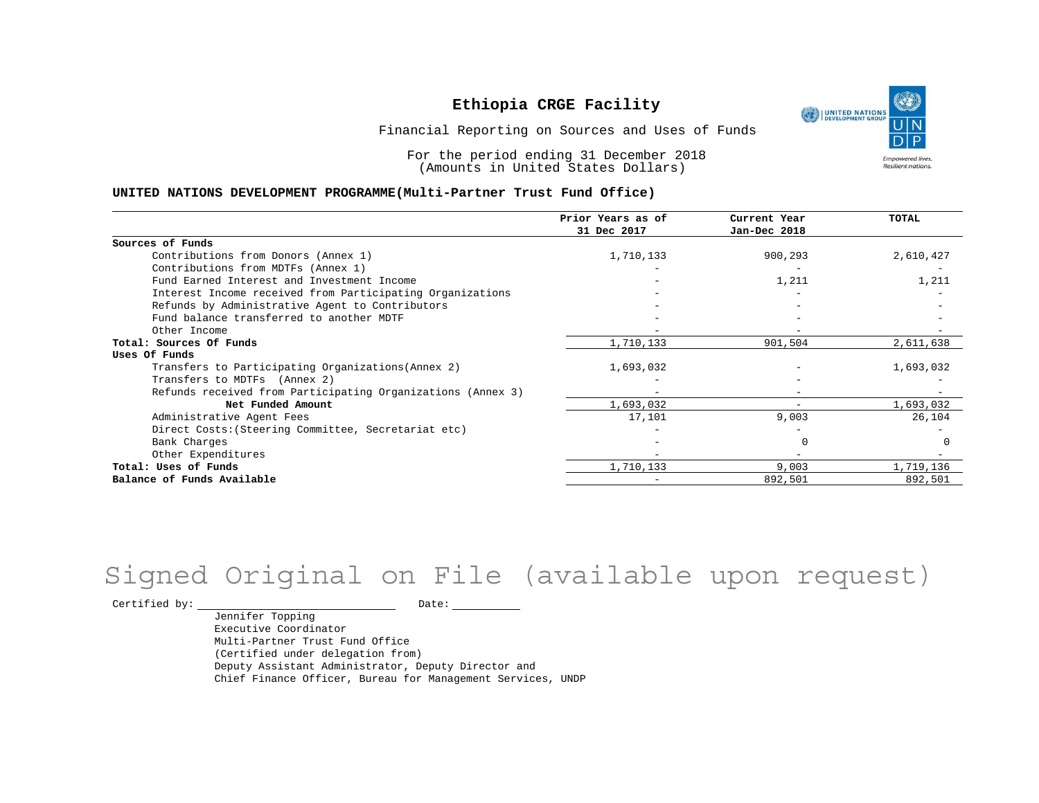UNITED NATIONS **Empowered lives** Resilient nations.

Financial Reporting on Sources and Uses of Funds

For the period ending 31 December 2018 (Amounts in United States Dollars)

#### **UNITED NATIONS DEVELOPMENT PROGRAMME(Multi-Partner Trust Fund Office)**

|                                                             | Prior Years as of | Current Year | <b>TOTAL</b> |
|-------------------------------------------------------------|-------------------|--------------|--------------|
|                                                             | 31 Dec 2017       | Jan-Dec 2018 |              |
| Sources of Funds                                            |                   |              |              |
| Contributions from Donors (Annex 1)                         | 1,710,133         | 900,293      | 2,610,427    |
| Contributions from MDTFs (Annex 1)                          |                   |              |              |
| Fund Earned Interest and Investment Income                  |                   | 1,211        | 1,211        |
| Interest Income received from Participating Organizations   |                   |              |              |
| Refunds by Administrative Agent to Contributors             |                   |              |              |
| Fund balance transferred to another MDTF                    |                   |              |              |
| Other Income                                                |                   |              |              |
| Total: Sources Of Funds                                     | 1,710,133         | 901,504      | 2,611,638    |
| Uses Of Funds                                               |                   |              |              |
| Transfers to Participating Organizations (Annex 2)          | 1,693,032         |              | 1,693,032    |
| Transfers to MDTFs (Annex 2)                                |                   |              |              |
| Refunds received from Participating Organizations (Annex 3) |                   |              |              |
| Net Funded Amount                                           | 1,693,032         | $-$          | 1,693,032    |
| Administrative Agent Fees                                   | 17,101            | 9,003        | 26,104       |
| Direct Costs: (Steering Committee, Secretariat etc)         |                   |              |              |
| Bank Charges                                                |                   |              |              |
| Other Expenditures                                          |                   |              |              |
| Total: Uses of Funds                                        | 1,710,133         | 9,003        | 1,719,136    |
| Balance of Funds Available                                  |                   | 892,501      | 892,501      |

## Signed Original on File (available upon request)

 $\begin{tabular}{ccccc} \multicolumn{2}{c|}{\textbf{Certified by:}} & \multicolumn{2}{c|}{\textbf{Date:}} & \multicolumn{2}{c|}{\textbf{Date:}} \end{tabular}$ 

Jennifer Topping Executive Coordinator Multi-Partner Trust Fund Office (Certified under delegation from) Deputy Assistant Administrator, Deputy Director and Chief Finance Officer, Bureau for Management Services, UNDP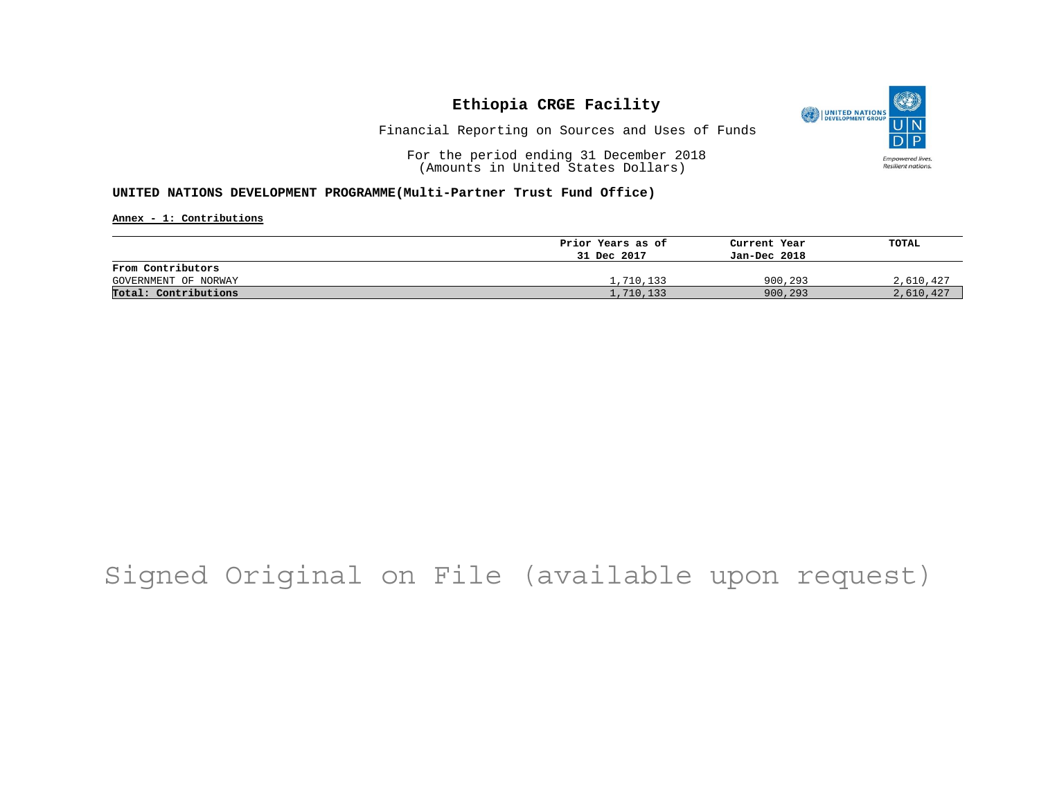

Financial Reporting on Sources and Uses of Funds

For the period ending 31 December 2018 (Amounts in United States Dollars)

### **UNITED NATIONS DEVELOPMENT PROGRAMME(Multi-Partner Trust Fund Office)**

**Annex - 1: Contributions**

|                      | Prior Years as of | Current Year | TOTAL     |
|----------------------|-------------------|--------------|-----------|
|                      | 31 Dec 2017       | Jan-Dec 2018 |           |
| From Contributors    |                   |              |           |
| GOVERNMENT OF NORWAY | 1,710,133         | 900,293      | 2,610,427 |
| Total: Contributions | L,710,133         | 900,293      | 2,610,427 |

# Signed Original on File (available upon request)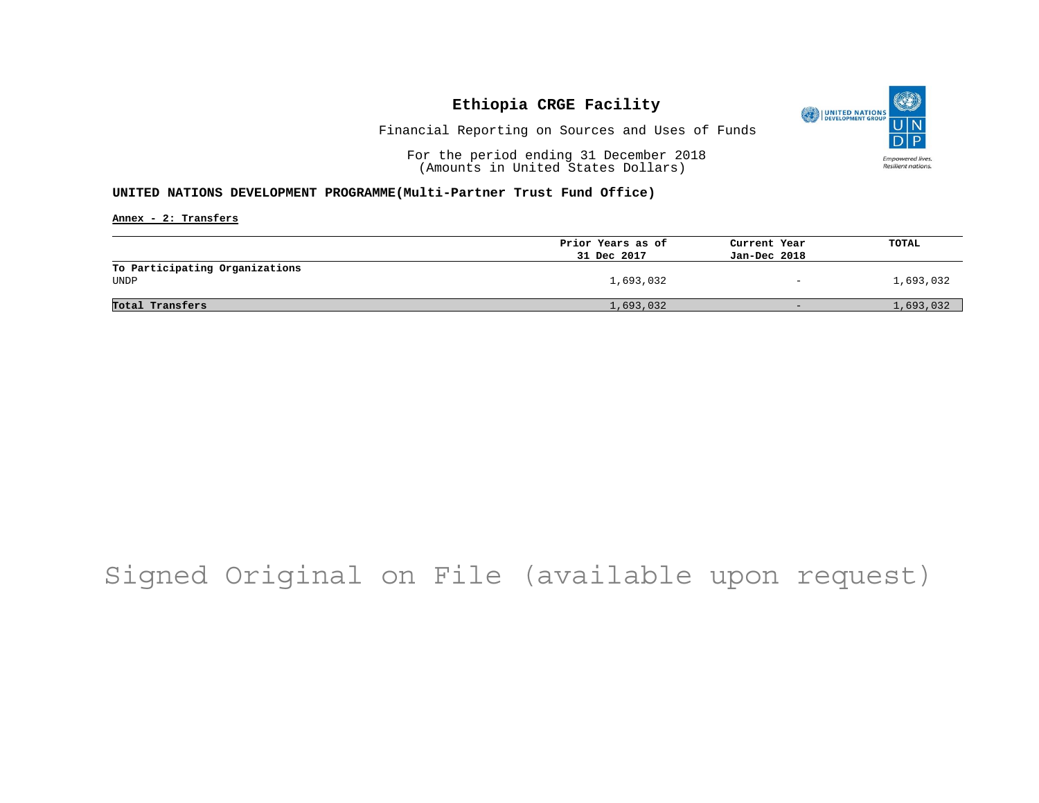

Financial Reporting on Sources and Uses of Funds

For the period ending 31 December 2018 (Amounts in United States Dollars)

### **UNITED NATIONS DEVELOPMENT PROGRAMME(Multi-Partner Trust Fund Office)**

**Annex - 2: Transfers**

|                                        | Prior Years as of | Current Year                 | TOTAL     |
|----------------------------------------|-------------------|------------------------------|-----------|
|                                        | 31 Dec 2017       | Jan-Dec 2018                 |           |
| To Participating Organizations<br>UNDP | 1,693,032         | $\qquad \qquad \blacksquare$ | 1,693,032 |
| Total Transfers                        | 1,693,032         | $-$                          | 1,693,032 |

## Signed Original on File (available upon request)